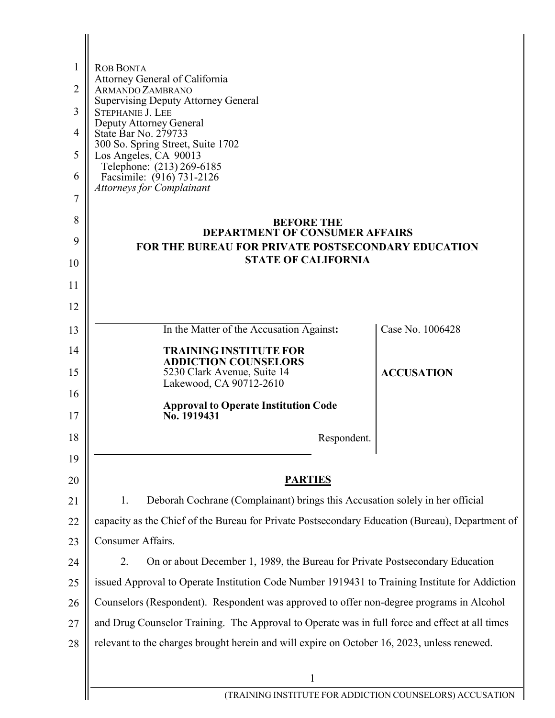| 1              | <b>ROB BONTA</b>                                                                                |                   |
|----------------|-------------------------------------------------------------------------------------------------|-------------------|
| $\overline{2}$ | Attorney General of California<br>ARMANDO ZAMBRANO                                              |                   |
| 3              | <b>Supervising Deputy Attorney General</b><br><b>STEPHANIE J. LEE</b>                           |                   |
| 4              | Deputy Attorney General<br>State Bar No. 279733                                                 |                   |
| 5              | 300 So. Spring Street, Suite 1702<br>Los Angeles, CA 90013                                      |                   |
| 6              | Telephone: (213) 269-6185<br>Facsimile: (916) 731-2126                                          |                   |
| 7              | <b>Attorneys for Complainant</b>                                                                |                   |
| 8              | <b>BEFORE THE</b>                                                                               |                   |
| 9              | <b>DEPARTMENT OF CONSUMER AFFAIRS</b>                                                           |                   |
| 10             | FOR THE BUREAU FOR PRIVATE POSTSECONDARY EDUCATION<br><b>STATE OF CALIFORNIA</b>                |                   |
| 11             |                                                                                                 |                   |
| 12             |                                                                                                 |                   |
| 13             | In the Matter of the Accusation Against:                                                        | Case No. 1006428  |
| 14             | <b>TRAINING INSTITUTE FOR</b>                                                                   |                   |
| 15             | <b>ADDICTION COUNSELORS</b><br>5230 Clark Avenue, Suite 14                                      | <b>ACCUSATION</b> |
| 16             | Lakewood, CA 90712-2610                                                                         |                   |
| 17             | <b>Approval to Operate Institution Code</b><br>No. 1919431                                      |                   |
| 18             | Respondent.                                                                                     |                   |
| 19             |                                                                                                 |                   |
| 20             | <b>PARTIES</b>                                                                                  |                   |
| 21             | Deborah Cochrane (Complainant) brings this Accusation solely in her official<br>1.              |                   |
| 22             | capacity as the Chief of the Bureau for Private Postsecondary Education (Bureau), Department of |                   |
| 23             | Consumer Affairs.                                                                               |                   |
| 24             | 2.<br>On or about December 1, 1989, the Bureau for Private Postsecondary Education              |                   |
| 25             | issued Approval to Operate Institution Code Number 1919431 to Training Institute for Addiction  |                   |
| 26             | Counselors (Respondent). Respondent was approved to offer non-degree programs in Alcohol        |                   |
| 27             | and Drug Counselor Training. The Approval to Operate was in full force and effect at all times  |                   |
| 28             | relevant to the charges brought herein and will expire on October 16, 2023, unless renewed.     |                   |
|                | 1                                                                                               |                   |
|                | (TRAINING INSTITUTE FOR ADDICTION COUNSELORS) ACCUSATION                                        |                   |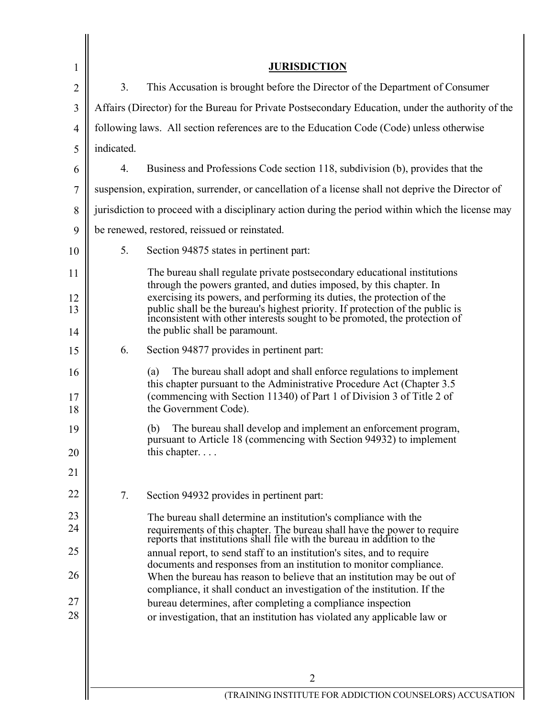| <b>JURISDICTION</b><br>1<br>3.<br>This Accusation is brought before the Director of the Department of Consumer<br>2<br>Affairs (Director) for the Bureau for Private Postsecondary Education, under the authority of the<br>3<br>following laws. All section references are to the Education Code (Code) unless otherwise<br>4<br>indicated.<br>5<br>4.<br>Business and Professions Code section 118, subdivision (b), provides that the<br>6<br>suspension, expiration, surrender, or cancellation of a license shall not deprive the Director of<br>7<br>jurisdiction to proceed with a disciplinary action during the period within which the license may<br>8<br>be renewed, restored, reissued or reinstated.<br>9<br>5.<br>Section 94875 states in pertinent part:<br>10<br>The bureau shall regulate private postsecondary educational institutions<br>11<br>through the powers granted, and duties imposed, by this chapter. In<br>exercising its powers, and performing its duties, the protection of the<br>12<br>public shall be the bureau's highest priority. If protection of the public is inconsistent with other interests sought to be promoted, the protection of<br>13<br>the public shall be paramount.<br>14<br>6.<br>Section 94877 provides in pertinent part:<br>15<br>The bureau shall adopt and shall enforce regulations to implement<br>(a)<br>16<br>this chapter pursuant to the Administrative Procedure Act (Chapter 3.5)<br>(commencing with Section 11340) of Part 1 of Division 3 of Title 2 of<br>17<br>the Government Code).<br>18<br>The bureau shall develop and implement an enforcement program,<br>(b)<br>19<br>pursuant to Article 18 (commencing with Section 94932) to implement<br>this chapter<br>20<br>21<br>22<br>7.<br>Section 94932 provides in pertinent part:<br>23<br>The bureau shall determine an institution's compliance with the<br>24<br>requirements of this chapter. The bureau shall have the power to require reports that institutions shall file with the bureau in addition to the<br>25<br>annual report, to send staff to an institution's sites, and to require<br>documents and responses from an institution to monitor compliance.<br>26<br>When the bureau has reason to believe that an institution may be out of<br>compliance, it shall conduct an investigation of the institution. If the<br>27<br>bureau determines, after completing a compliance inspection<br>28<br>or investigation, that an institution has violated any applicable law or<br>$\overline{2}$<br>(TRAINING INSTITUTE FOR ADDICTION COUNSELORS) ACCUSATION |  |  |
|--------------------------------------------------------------------------------------------------------------------------------------------------------------------------------------------------------------------------------------------------------------------------------------------------------------------------------------------------------------------------------------------------------------------------------------------------------------------------------------------------------------------------------------------------------------------------------------------------------------------------------------------------------------------------------------------------------------------------------------------------------------------------------------------------------------------------------------------------------------------------------------------------------------------------------------------------------------------------------------------------------------------------------------------------------------------------------------------------------------------------------------------------------------------------------------------------------------------------------------------------------------------------------------------------------------------------------------------------------------------------------------------------------------------------------------------------------------------------------------------------------------------------------------------------------------------------------------------------------------------------------------------------------------------------------------------------------------------------------------------------------------------------------------------------------------------------------------------------------------------------------------------------------------------------------------------------------------------------------------------------------------------------------------------------------------------------------------------------------------------------------------------------------------------------------------------------------------------------------------------------------------------------------------------------------------------------------------------------------------------------------------------------------------------------------------------------------------------------------------------------------------------------------------------------------------------------------------------------------------|--|--|
|                                                                                                                                                                                                                                                                                                                                                                                                                                                                                                                                                                                                                                                                                                                                                                                                                                                                                                                                                                                                                                                                                                                                                                                                                                                                                                                                                                                                                                                                                                                                                                                                                                                                                                                                                                                                                                                                                                                                                                                                                                                                                                                                                                                                                                                                                                                                                                                                                                                                                                                                                                                                              |  |  |
|                                                                                                                                                                                                                                                                                                                                                                                                                                                                                                                                                                                                                                                                                                                                                                                                                                                                                                                                                                                                                                                                                                                                                                                                                                                                                                                                                                                                                                                                                                                                                                                                                                                                                                                                                                                                                                                                                                                                                                                                                                                                                                                                                                                                                                                                                                                                                                                                                                                                                                                                                                                                              |  |  |
|                                                                                                                                                                                                                                                                                                                                                                                                                                                                                                                                                                                                                                                                                                                                                                                                                                                                                                                                                                                                                                                                                                                                                                                                                                                                                                                                                                                                                                                                                                                                                                                                                                                                                                                                                                                                                                                                                                                                                                                                                                                                                                                                                                                                                                                                                                                                                                                                                                                                                                                                                                                                              |  |  |
|                                                                                                                                                                                                                                                                                                                                                                                                                                                                                                                                                                                                                                                                                                                                                                                                                                                                                                                                                                                                                                                                                                                                                                                                                                                                                                                                                                                                                                                                                                                                                                                                                                                                                                                                                                                                                                                                                                                                                                                                                                                                                                                                                                                                                                                                                                                                                                                                                                                                                                                                                                                                              |  |  |
|                                                                                                                                                                                                                                                                                                                                                                                                                                                                                                                                                                                                                                                                                                                                                                                                                                                                                                                                                                                                                                                                                                                                                                                                                                                                                                                                                                                                                                                                                                                                                                                                                                                                                                                                                                                                                                                                                                                                                                                                                                                                                                                                                                                                                                                                                                                                                                                                                                                                                                                                                                                                              |  |  |
|                                                                                                                                                                                                                                                                                                                                                                                                                                                                                                                                                                                                                                                                                                                                                                                                                                                                                                                                                                                                                                                                                                                                                                                                                                                                                                                                                                                                                                                                                                                                                                                                                                                                                                                                                                                                                                                                                                                                                                                                                                                                                                                                                                                                                                                                                                                                                                                                                                                                                                                                                                                                              |  |  |
|                                                                                                                                                                                                                                                                                                                                                                                                                                                                                                                                                                                                                                                                                                                                                                                                                                                                                                                                                                                                                                                                                                                                                                                                                                                                                                                                                                                                                                                                                                                                                                                                                                                                                                                                                                                                                                                                                                                                                                                                                                                                                                                                                                                                                                                                                                                                                                                                                                                                                                                                                                                                              |  |  |
|                                                                                                                                                                                                                                                                                                                                                                                                                                                                                                                                                                                                                                                                                                                                                                                                                                                                                                                                                                                                                                                                                                                                                                                                                                                                                                                                                                                                                                                                                                                                                                                                                                                                                                                                                                                                                                                                                                                                                                                                                                                                                                                                                                                                                                                                                                                                                                                                                                                                                                                                                                                                              |  |  |
|                                                                                                                                                                                                                                                                                                                                                                                                                                                                                                                                                                                                                                                                                                                                                                                                                                                                                                                                                                                                                                                                                                                                                                                                                                                                                                                                                                                                                                                                                                                                                                                                                                                                                                                                                                                                                                                                                                                                                                                                                                                                                                                                                                                                                                                                                                                                                                                                                                                                                                                                                                                                              |  |  |
|                                                                                                                                                                                                                                                                                                                                                                                                                                                                                                                                                                                                                                                                                                                                                                                                                                                                                                                                                                                                                                                                                                                                                                                                                                                                                                                                                                                                                                                                                                                                                                                                                                                                                                                                                                                                                                                                                                                                                                                                                                                                                                                                                                                                                                                                                                                                                                                                                                                                                                                                                                                                              |  |  |
|                                                                                                                                                                                                                                                                                                                                                                                                                                                                                                                                                                                                                                                                                                                                                                                                                                                                                                                                                                                                                                                                                                                                                                                                                                                                                                                                                                                                                                                                                                                                                                                                                                                                                                                                                                                                                                                                                                                                                                                                                                                                                                                                                                                                                                                                                                                                                                                                                                                                                                                                                                                                              |  |  |
|                                                                                                                                                                                                                                                                                                                                                                                                                                                                                                                                                                                                                                                                                                                                                                                                                                                                                                                                                                                                                                                                                                                                                                                                                                                                                                                                                                                                                                                                                                                                                                                                                                                                                                                                                                                                                                                                                                                                                                                                                                                                                                                                                                                                                                                                                                                                                                                                                                                                                                                                                                                                              |  |  |
|                                                                                                                                                                                                                                                                                                                                                                                                                                                                                                                                                                                                                                                                                                                                                                                                                                                                                                                                                                                                                                                                                                                                                                                                                                                                                                                                                                                                                                                                                                                                                                                                                                                                                                                                                                                                                                                                                                                                                                                                                                                                                                                                                                                                                                                                                                                                                                                                                                                                                                                                                                                                              |  |  |
|                                                                                                                                                                                                                                                                                                                                                                                                                                                                                                                                                                                                                                                                                                                                                                                                                                                                                                                                                                                                                                                                                                                                                                                                                                                                                                                                                                                                                                                                                                                                                                                                                                                                                                                                                                                                                                                                                                                                                                                                                                                                                                                                                                                                                                                                                                                                                                                                                                                                                                                                                                                                              |  |  |
|                                                                                                                                                                                                                                                                                                                                                                                                                                                                                                                                                                                                                                                                                                                                                                                                                                                                                                                                                                                                                                                                                                                                                                                                                                                                                                                                                                                                                                                                                                                                                                                                                                                                                                                                                                                                                                                                                                                                                                                                                                                                                                                                                                                                                                                                                                                                                                                                                                                                                                                                                                                                              |  |  |
|                                                                                                                                                                                                                                                                                                                                                                                                                                                                                                                                                                                                                                                                                                                                                                                                                                                                                                                                                                                                                                                                                                                                                                                                                                                                                                                                                                                                                                                                                                                                                                                                                                                                                                                                                                                                                                                                                                                                                                                                                                                                                                                                                                                                                                                                                                                                                                                                                                                                                                                                                                                                              |  |  |
|                                                                                                                                                                                                                                                                                                                                                                                                                                                                                                                                                                                                                                                                                                                                                                                                                                                                                                                                                                                                                                                                                                                                                                                                                                                                                                                                                                                                                                                                                                                                                                                                                                                                                                                                                                                                                                                                                                                                                                                                                                                                                                                                                                                                                                                                                                                                                                                                                                                                                                                                                                                                              |  |  |
|                                                                                                                                                                                                                                                                                                                                                                                                                                                                                                                                                                                                                                                                                                                                                                                                                                                                                                                                                                                                                                                                                                                                                                                                                                                                                                                                                                                                                                                                                                                                                                                                                                                                                                                                                                                                                                                                                                                                                                                                                                                                                                                                                                                                                                                                                                                                                                                                                                                                                                                                                                                                              |  |  |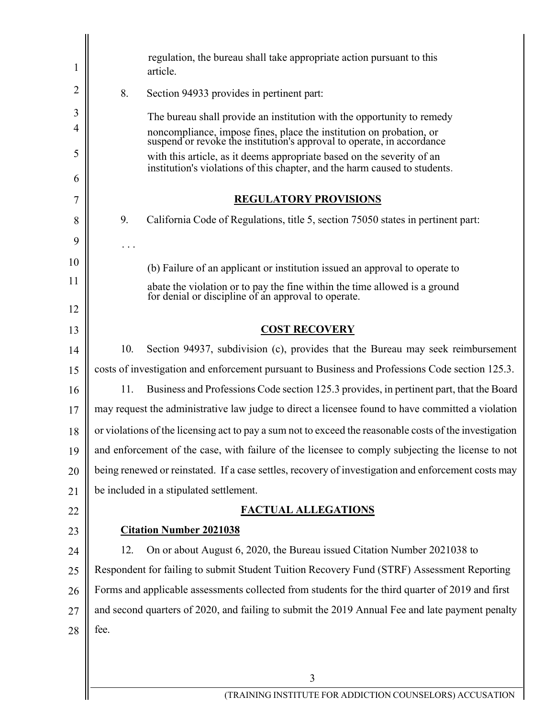| 1  |      | regulation, the bureau shall take appropriate action pursuant to this<br>article.                                                                    |
|----|------|------------------------------------------------------------------------------------------------------------------------------------------------------|
| 2  | 8.   | Section 94933 provides in pertinent part:                                                                                                            |
| 3  |      | The bureau shall provide an institution with the opportunity to remedy                                                                               |
| 4  |      | noncompliance, impose fines, place the institution on probation, or suspend or revoke the institution's approval to operate, in accordance           |
| 5  |      | with this article, as it deems appropriate based on the severity of an<br>institution's violations of this chapter, and the harm caused to students. |
| 6  |      |                                                                                                                                                      |
| 7  |      | <b>REGULATORY PROVISIONS</b>                                                                                                                         |
| 8  | 9.   | California Code of Regulations, title 5, section 75050 states in pertinent part:                                                                     |
| 9  |      |                                                                                                                                                      |
| 10 |      | (b) Failure of an applicant or institution issued an approval to operate to                                                                          |
| 11 |      | abate the violation or to pay the fine within the time allowed is a ground                                                                           |
| 12 |      | for denial or discipline of an approval to operate.                                                                                                  |
| 13 |      | <b>COST RECOVERY</b>                                                                                                                                 |
|    | 10.  | Section 94937, subdivision (c), provides that the Bureau may seek reimbursement                                                                      |
| 14 |      |                                                                                                                                                      |
| 15 |      | costs of investigation and enforcement pursuant to Business and Professions Code section 125.3.                                                      |
| 16 | 11.  | Business and Professions Code section 125.3 provides, in pertinent part, that the Board                                                              |
| 17 |      | may request the administrative law judge to direct a licensee found to have committed a violation                                                    |
| 18 |      | or violations of the licensing act to pay a sum not to exceed the reasonable costs of the investigation                                              |
| 19 |      | and enforcement of the case, with failure of the licensee to comply subjecting the license to not                                                    |
| 20 |      | being renewed or reinstated. If a case settles, recovery of investigation and enforcement costs may                                                  |
| 21 |      | be included in a stipulated settlement.                                                                                                              |
| 22 |      | <b>FACTUAL ALLEGATIONS</b>                                                                                                                           |
| 23 |      | <b>Citation Number 2021038</b>                                                                                                                       |
| 24 | 12.  | On or about August 6, 2020, the Bureau issued Citation Number 2021038 to                                                                             |
| 25 |      | Respondent for failing to submit Student Tuition Recovery Fund (STRF) Assessment Reporting                                                           |
| 26 |      | Forms and applicable assessments collected from students for the third quarter of 2019 and first                                                     |
| 27 |      | and second quarters of 2020, and failing to submit the 2019 Annual Fee and late payment penalty                                                      |
| 28 | fee. |                                                                                                                                                      |
|    |      |                                                                                                                                                      |
|    |      | 3                                                                                                                                                    |
|    |      | (TRAINING INSTITUTE FOR ADDICTION COUNSELORS) ACCUSATION                                                                                             |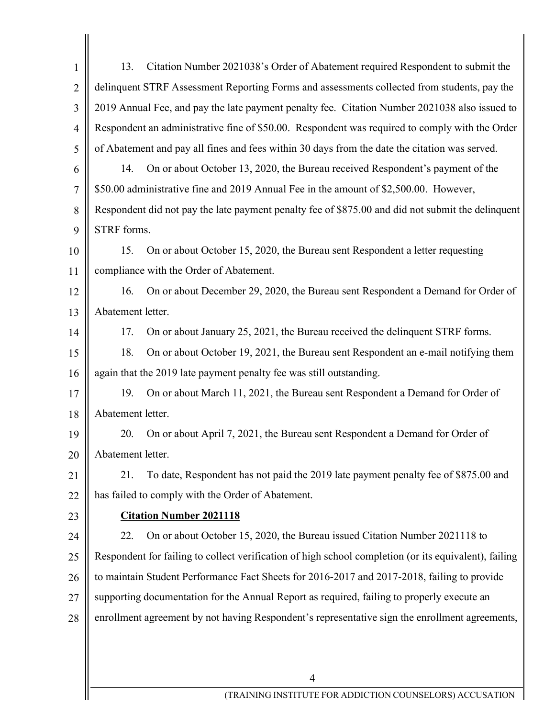| $\mathbf{1}$   | 13.                                                                                           | Citation Number 2021038's Order of Abatement required Respondent to submit the                        |
|----------------|-----------------------------------------------------------------------------------------------|-------------------------------------------------------------------------------------------------------|
| $\overline{2}$ |                                                                                               | delinquent STRF Assessment Reporting Forms and assessments collected from students, pay the           |
| 3              | 2019 Annual Fee, and pay the late payment penalty fee. Citation Number 2021038 also issued to |                                                                                                       |
| $\overline{4}$ |                                                                                               | Respondent an administrative fine of \$50.00. Respondent was required to comply with the Order        |
| 5              |                                                                                               | of Abatement and pay all fines and fees within 30 days from the date the citation was served.         |
| 6              | 14.                                                                                           | On or about October 13, 2020, the Bureau received Respondent's payment of the                         |
| 7              |                                                                                               | \$50.00 administrative fine and 2019 Annual Fee in the amount of \$2,500.00. However,                 |
| 8              |                                                                                               | Respondent did not pay the late payment penalty fee of \$875.00 and did not submit the delinquent     |
| 9              | STRF forms.                                                                                   |                                                                                                       |
| 10             | 15.                                                                                           | On or about October 15, 2020, the Bureau sent Respondent a letter requesting                          |
| 11             | compliance with the Order of Abatement.                                                       |                                                                                                       |
| 12             | 16.                                                                                           | On or about December 29, 2020, the Bureau sent Respondent a Demand for Order of                       |
| 13             | Abatement letter.                                                                             |                                                                                                       |
| 14             | 17.                                                                                           | On or about January 25, 2021, the Bureau received the delinquent STRF forms.                          |
| 15             | 18.                                                                                           | On or about October 19, 2021, the Bureau sent Respondent an e-mail notifying them                     |
| 16             |                                                                                               | again that the 2019 late payment penalty fee was still outstanding.                                   |
| 17             | 19.                                                                                           | On or about March 11, 2021, the Bureau sent Respondent a Demand for Order of                          |
| 18             | Abatement letter.                                                                             |                                                                                                       |
| 19             | 20.                                                                                           | On or about April 7, 2021, the Bureau sent Respondent a Demand for Order of                           |
| 20             | Abatement letter.                                                                             |                                                                                                       |
| 21             | 21.                                                                                           | To date, Respondent has not paid the 2019 late payment penalty fee of \$875.00 and                    |
| 22             |                                                                                               | has failed to comply with the Order of Abatement.                                                     |
| 23             |                                                                                               | <b>Citation Number 2021118</b>                                                                        |
| 24             | 22.                                                                                           | On or about October 15, 2020, the Bureau issued Citation Number 2021118 to                            |
| 25             |                                                                                               | Respondent for failing to collect verification of high school completion (or its equivalent), failing |
| 26             | to maintain Student Performance Fact Sheets for 2016-2017 and 2017-2018, failing to provide   |                                                                                                       |
| 27             | supporting documentation for the Annual Report as required, failing to properly execute an    |                                                                                                       |
| 28             |                                                                                               | enrollment agreement by not having Respondent's representative sign the enrollment agreements,        |
|                |                                                                                               |                                                                                                       |
|                |                                                                                               |                                                                                                       |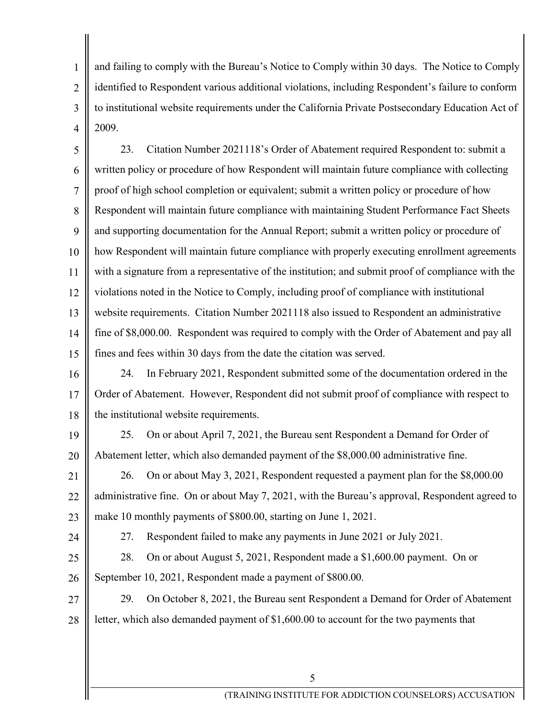and failing to comply with the Bureau's Notice to Comply within 30 days. The Notice to Comply identified to Respondent various additional violations, including Respondent's failure to conform to institutional website requirements under the California Private Postsecondary Education Act of 2009.

23. written policy or procedure of how Respondent will maintain future compliance with collecting proof of high school completion or equivalent; submit a written policy or procedure of how Respondent will maintain future compliance with maintaining Student Performance Fact Sheets and supporting documentation for the Annual Report; submit a written policy or procedure of how Respondent will maintain future compliance with properly executing enrollment agreements with a signature from a representative of the institution; and submit proof of compliance with the violations noted in the Notice to Comply, including proof of compliance with institutional website requirements. Citation Number 2021118 also issued to Respondent an administrative fine of \$[8,000.00.](https://8,000.00) Respondent was required to comply with the Order of Abatement and pay all fines and fees within 30 days from the date the citation was served. 5 6 7 8 9 10 11 12 13 14 15 23. Citation Number 2021118's Order of Abatement required Respondent to: submit a

24. Order of Abatement. However, Respondent did not submit proof of compliance with respect to the institutional website requirements. 16 17 18 In February 2021, Respondent submitted some of the documentation ordered in the

25. Abatement letter, which also demanded payment of the \$[8,000.00](https://8,000.00) administrative fine. 19 20 25. On or about April 7, 2021, the Bureau sent Respondent a Demand for Order of

26. administrative fine. On or about May 7, 2021, with the Bureau's approval, Respondent agreed to make 10 monthly payments of \$800.00, starting on June 1, 2021. 21 22 23 26. On or about May 3, 2021, Respondent requested a payment plan for the [\\$8,000.00](https://8,000.00)

24

1

2

3

4

27. Respondent failed to make any payments in June 2021 or July 2021.

28. September 10, 2021, Respondent made a payment of \$800.00. 25 26 28. On or about August 5, 2021, Respondent made a [\\$1,600.00](https://1,600.00) payment. On or

29. letter, which also demanded payment of [\\$1,600.00](https://1,600.00) to account for the two payments that 27 28 29. On October 8, 2021, the Bureau sent Respondent a Demand for Order of Abatement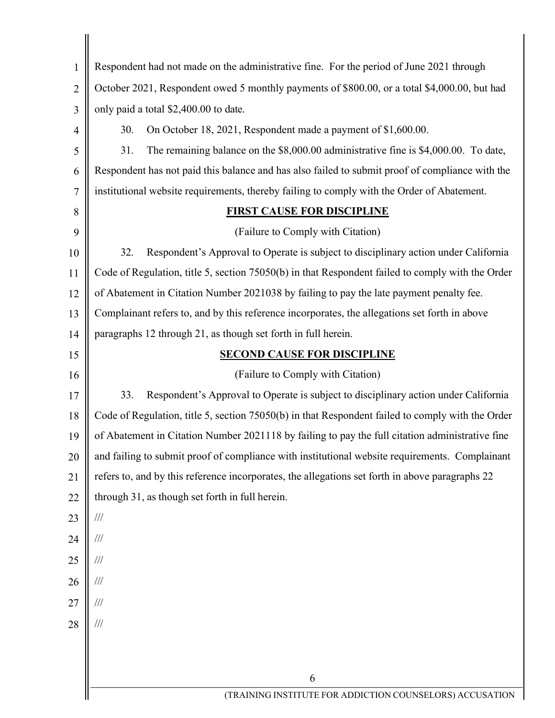| $\mathbf{1}$   | Respondent had not made on the administrative fine. For the period of June 2021 through          |  |
|----------------|--------------------------------------------------------------------------------------------------|--|
| $\overline{2}$ | October 2021, Respondent owed 5 monthly payments of \$800.00, or a total \$4,000.00, but had     |  |
| 3              | only paid a total \$2,400.00 to date.                                                            |  |
| $\overline{4}$ | On October 18, 2021, Respondent made a payment of \$1,600.00.<br>30.                             |  |
| 5              | The remaining balance on the \$8,000.00 administrative fine is \$4,000.00. To date,<br>31.       |  |
| 6              | Respondent has not paid this balance and has also failed to submit proof of compliance with the  |  |
| 7              | institutional website requirements, thereby failing to comply with the Order of Abatement.       |  |
| 8              | <b>FIRST CAUSE FOR DISCIPLINE</b>                                                                |  |
| 9              | (Failure to Comply with Citation)                                                                |  |
| 10             | 32.<br>Respondent's Approval to Operate is subject to disciplinary action under California       |  |
| 11             | Code of Regulation, title 5, section 75050(b) in that Respondent failed to comply with the Order |  |
| 12             | of Abatement in Citation Number 2021038 by failing to pay the late payment penalty fee.          |  |
| 13             | Complainant refers to, and by this reference incorporates, the allegations set forth in above    |  |
| 14             | paragraphs 12 through 21, as though set forth in full herein.                                    |  |
| 15             | <b>SECOND CAUSE FOR DISCIPLINE</b>                                                               |  |
| 16             | (Failure to Comply with Citation)                                                                |  |
| 17             | Respondent's Approval to Operate is subject to disciplinary action under California<br>33.       |  |
| 18             | Code of Regulation, title 5, section 75050(b) in that Respondent failed to comply with the Order |  |
| 19             | of Abatement in Citation Number 2021118 by failing to pay the full citation administrative fine  |  |
| 20             | and failing to submit proof of compliance with institutional website requirements. Complainant   |  |
| 21             | refers to, and by this reference incorporates, the allegations set forth in above paragraphs 22  |  |
| 22             | through 31, as though set forth in full herein.                                                  |  |
| 23             | $\frac{1}{1}$                                                                                    |  |
| 24             | $\frac{1}{1}$                                                                                    |  |
| 25             | $\frac{1}{1}$                                                                                    |  |
| 26             | $/ \! / \! /$                                                                                    |  |
| 27             | $/ \! / \! /$                                                                                    |  |
| 28             | $/\!/ \!/$                                                                                       |  |
|                |                                                                                                  |  |
|                |                                                                                                  |  |
|                | 6                                                                                                |  |
|                | (TRAINING INSTITUTE FOR ADDICTION COUNSELORS) ACCUSATION                                         |  |